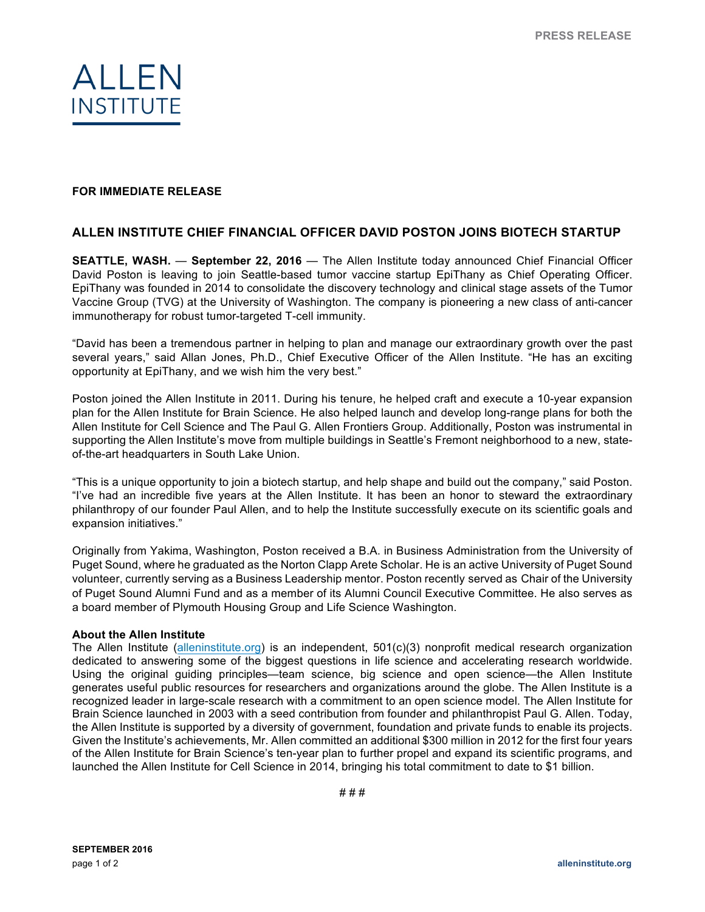

## **FOR IMMEDIATE RELEASE**

## **ALLEN INSTITUTE CHIEF FINANCIAL OFFICER DAVID POSTON JOINS BIOTECH STARTUP**

**SEATTLE, WASH.** — **September 22, 2016** — The Allen Institute today announced Chief Financial Officer David Poston is leaving to join Seattle-based tumor vaccine startup EpiThany as Chief Operating Officer. EpiThany was founded in 2014 to consolidate the discovery technology and clinical stage assets of the Tumor Vaccine Group (TVG) at the University of Washington. The company is pioneering a new class of anti-cancer immunotherapy for robust tumor-targeted T-cell immunity.

"David has been a tremendous partner in helping to plan and manage our extraordinary growth over the past several years," said Allan Jones, Ph.D., Chief Executive Officer of the Allen Institute. "He has an exciting opportunity at EpiThany, and we wish him the very best."

Poston joined the Allen Institute in 2011. During his tenure, he helped craft and execute a 10-year expansion plan for the Allen Institute for Brain Science. He also helped launch and develop long-range plans for both the Allen Institute for Cell Science and The Paul G. Allen Frontiers Group. Additionally, Poston was instrumental in supporting the Allen Institute's move from multiple buildings in Seattle's Fremont neighborhood to a new, stateof-the-art headquarters in South Lake Union.

"This is a unique opportunity to join a biotech startup, and help shape and build out the company," said Poston. "I've had an incredible five years at the Allen Institute. It has been an honor to steward the extraordinary philanthropy of our founder Paul Allen, and to help the Institute successfully execute on its scientific goals and expansion initiatives."

Originally from Yakima, Washington, Poston received a B.A. in Business Administration from the University of Puget Sound, where he graduated as the Norton Clapp Arete Scholar. He is an active University of Puget Sound volunteer, currently serving as a Business Leadership mentor. Poston recently served as Chair of the University of Puget Sound Alumni Fund and as a member of its Alumni Council Executive Committee. He also serves as a board member of Plymouth Housing Group and Life Science Washington.

## **About the Allen Institute**

The Allen Institute (alleninstitute.org) is an independent, 501(c)(3) nonprofit medical research organization dedicated to answering some of the biggest questions in life science and accelerating research worldwide. Using the original guiding principles—team science, big science and open science—the Allen Institute generates useful public resources for researchers and organizations around the globe. The Allen Institute is a recognized leader in large-scale research with a commitment to an open science model. The Allen Institute for Brain Science launched in 2003 with a seed contribution from founder and philanthropist Paul G. Allen. Today, the Allen Institute is supported by a diversity of government, foundation and private funds to enable its projects. Given the Institute's achievements, Mr. Allen committed an additional \$300 million in 2012 for the first four years of the Allen Institute for Brain Science's ten-year plan to further propel and expand its scientific programs, and launched the Allen Institute for Cell Science in 2014, bringing his total commitment to date to \$1 billion.